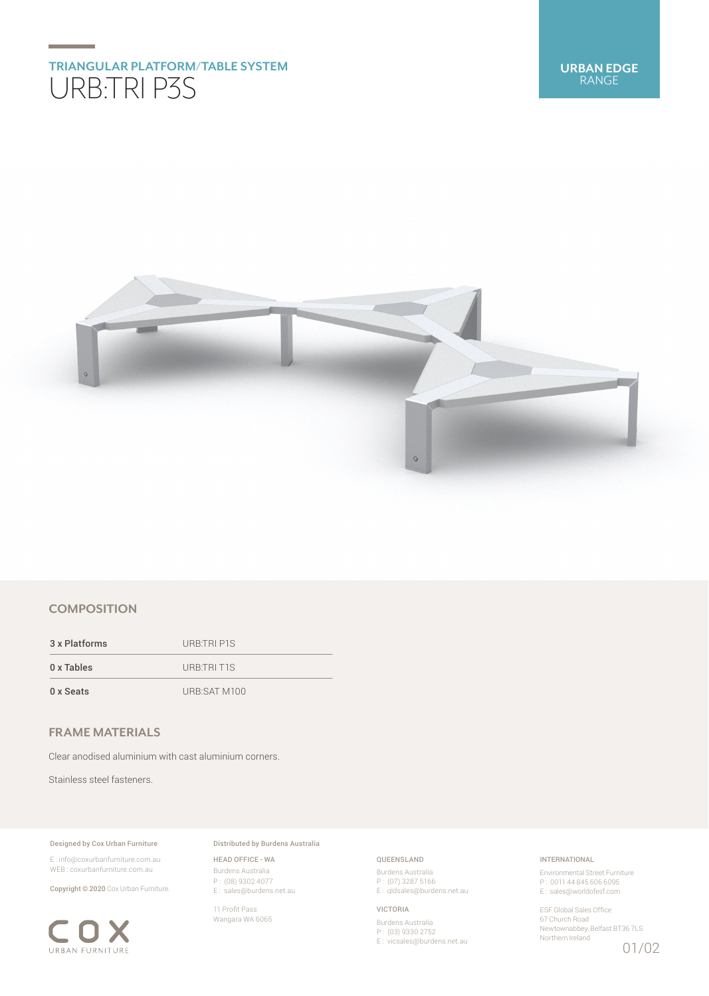# **TRIANGULAR PLATFORM/TABLE SYSTEM** URB:TRI P3S



# **COMPOSITION**

3 x Platforms URB:TRI P1S 0 x Tables URB:TRI T1S 0 x Seats URB:SAT M100

# **FRAME MATERIALS**

Clear anodised aluminium with cast aluminium corners.

Stainless steel fasteners.

## Designed by Cox Urban Furniture

E : info@coxurbanfurniture.com.au WEB : coxurbanfurniture.com.au

Copyright © 2020 Cox Urban Furniture.



Distributed by Burdens Australia

HEAD OFFICE - WA Burdens Australia P : (08) 9302 4077 E : sales@burdens.net.au

11 Profit Pass Wangara WA 6065

## QUEENSLAND

Burdens Australia P : (07) 3287 5166 E: qldsales@burdens.net.au

## VICTORIA

Burdens Australia P : (03) 9330 2752 E : vicsales@burdens.net.au

## INTERNATIONAL

Environmental Street Furniture P : 0011 44 845 606 6095 E : sales@worldofesf.com

ESF Global Sales Office 67 Church Road Newtownabbey, Belfast BT36 7LS Northern Ireland 01/02